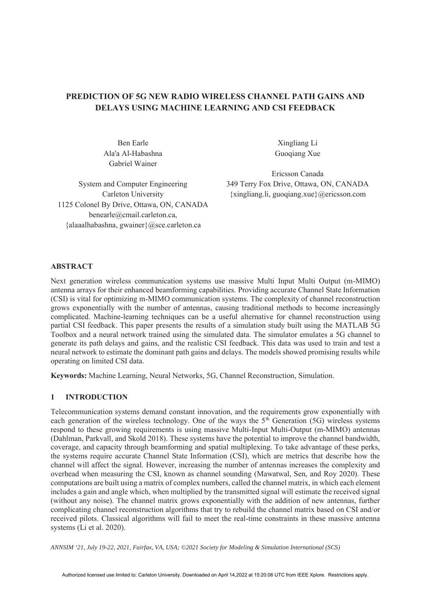# **PREDICTION OF 5G NEW RADIO WIRELESS CHANNEL PATH GAINS AND DELAYS USING MACHINE LEARNING AND CSI FEEDBACK**

Ben Earle Xingliang Li Ala'a Al-Habashna Guoqiang Xue Gabriel Wainer

1125 Colonel By Drive, Ottawa, ON, CANADA benearle@cmail.carleton.ca, {alaaalhabashna, gwainer}@sce.carleton.ca

Ericsson Canada System and Computer Engineering 349 Terry Fox Drive, Ottawa, ON, CANADA Carleton University {xingliang.li, guoqiang.xue}@ericsson.com

# **ABSTRACT**

Next generation wireless communication systems use massive Multi Input Multi Output (m-MIMO) antenna arrays for their enhanced beamforming capabilities. Providing accurate Channel State Information (CSI) is vital for optimizing m-MIMO communication systems. The complexity of channel reconstruction grows exponentially with the number of antennas, causing traditional methods to become increasingly complicated. Machine-learning techniques can be a useful alternative for channel reconstruction using partial CSI feedback. This paper presents the results of a simulation study built using the MATLAB 5G Toolbox and a neural network trained using the simulated data. The simulator emulates a 5G channel to generate its path delays and gains, and the realistic CSI feedback. This data was used to train and test a neural network to estimate the dominant path gains and delays. The models showed promising results while operating on limited CSI data.

**Keywords:** Machine Learning, Neural Networks, 5G, Channel Reconstruction, Simulation.

# **1 INTRODUCTION**

Telecommunication systems demand constant innovation, and the requirements grow exponentially with each generation of the wireless technology. One of the ways the  $5<sup>th</sup>$  Generation (5G) wireless systems respond to these growing requirements is using massive Multi-Input Multi-Output (m-MIMO) antennas (Dahlman, Parkvall, and Skold 2018). These systems have the potential to improve the channel bandwidth, coverage, and capacity through beamforming and spatial multiplexing. To take advantage of these perks, the systems require accurate Channel State Information (CSI), which are metrics that describe how the channel will affect the signal. However, increasing the number of antennas increases the complexity and overhead when measuring the CSI, known as channel sounding (Mawatwal, Sen, and Roy 2020). These computations are built using a matrix of complex numbers, called the channel matrix, in which each element includes a gain and angle which, when multiplied by the transmitted signal will estimate the received signal (without any noise). The channel matrix grows exponentially with the addition of new antennas, further complicating channel reconstruction algorithms that try to rebuild the channel matrix based on CSI and/or received pilots. Classical algorithms will fail to meet the real-time constraints in these massive antenna systems (Li et al. 2020).

*ANNSIM '21, July 19-22, 2021, Fairfax, VA, USA; ©2021 Society for Modeling & Simulation International (SCS)*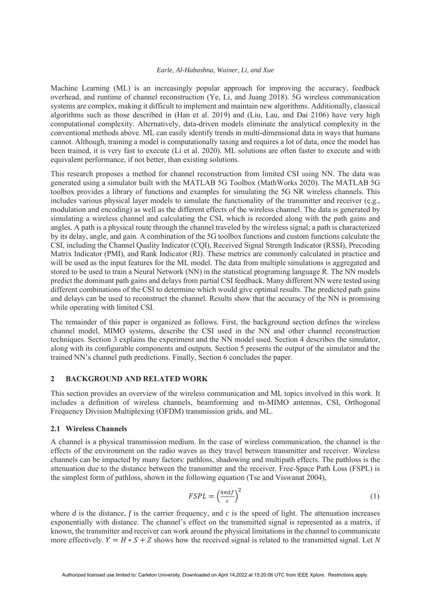Machine Learning (ML) is an increasingly popular approach for improving the accuracy, feedback overhead, and runtime of channel reconstruction (Ye, Li, and Juang 2018). 5G wireless communication systems are complex, making it difficult to implement and maintain new algorithms. Additionally, classical algorithms such as those described in (Han et al. 2019) and (Liu, Lau, and Dai 2106) have very high computational complexity. Alternatively, data-driven models eliminate the analytical complexity in the conventional methods above. ML can easily identify trends in multi-dimensional data in ways that humans cannot. Although, training a model is computationally taxing and requires a lot of data, once the model has been trained, it is very fast to execute (Li et al. 2020). ML solutions are often faster to execute and with equivalent performance, if not better, than existing solutions.

This research proposes a method for channel reconstruction from limited CSI using NN. The data was generated using a simulator built with the MATLAB 5G Toolbox (MathWorks 2020). The MATLAB 5G toolbox provides a library of functions and examples for simulating the 5G NR wireless channels. This includes various physical layer models to simulate the functionality of the transmitter and receiver (e.g., modulation and encoding) as well as the different effects of the wireless channel. The data is generated by simulating a wireless channel and calculating the CSI, which is recorded along with the path gains and angles. A path is a physical route through the channel traveled by the wireless signal; a path is characterized by its delay, angle, and gain. A combination of the 5G toolbox functions and custom functions calculate the CSI, including the Channel Quality Indicator (CQI), Received Signal Strength Indicator (RSSI), Precoding Matrix Indicator (PMI), and Rank Indicator (RI). These metrics are commonly calculated in practice and will be used as the input features for the ML model. The data from multiple simulations is aggregated and stored to be used to train a Neural Network (NN) in the statistical programing language R. The NN models predict the dominant path gains and delays from partial CSI feedback. Many different NN were tested using different combinations of the CSI to determine which would give optimal results. The predicted path gains and delays can be used to reconstruct the channel. Results show that the accuracy of the NN is promising while operating with limited CSI.

The remainder of this paper is organized as follows. First, the background section defines the wireless channel model, MIMO systems, describe the CSI used in the NN and other channel reconstruction techniques. Section 3 explains the experiment and the NN model used. Section 4 describes the simulator, along with its configurable components and outputs. Section 5 presents the output of the simulator and the trained NN's channel path predictions. Finally, Section 6 concludes the paper.

# **2 BACKGROUND AND RELATED WORK**

This section provides an overview of the wireless communication and ML topics involved in this work. It includes a definition of wireless channels, beamforming and m-MIMO antennas, CSI, Orthogonal Frequency Division Multiplexing (OFDM) transmission grids, and ML.

### **2.1 Wireless Channels**

A channel is a physical transmission medium. In the case of wireless communication, the channel is the effects of the environment on the radio waves as they travel between transmitter and receiver. Wireless channels can be impacted by many factors: pathloss, shadowing and multipath effects. The pathloss is the attenuation due to the distance between the transmitter and the receiver. Free-Space Path Loss (FSPL) is the simplest form of pathloss, shown in the following equation (Tse and Viswanat 2004),

$$
FSPL = \left(\frac{4\pi df}{c}\right)^2\tag{1}
$$

where *d* is the distance, *f* is the carrier frequency, and *c* is the speed of light. The attenuation increases exponentially with distance. The channel's effect on the transmitted signal is represented as a matrix, if known, the transmitter and receiver can work around the physical limitations in the channel to communicate more effectively.  $Y = H * S + Z$  shows how the received signal is related to the transmitted signal. Let *N*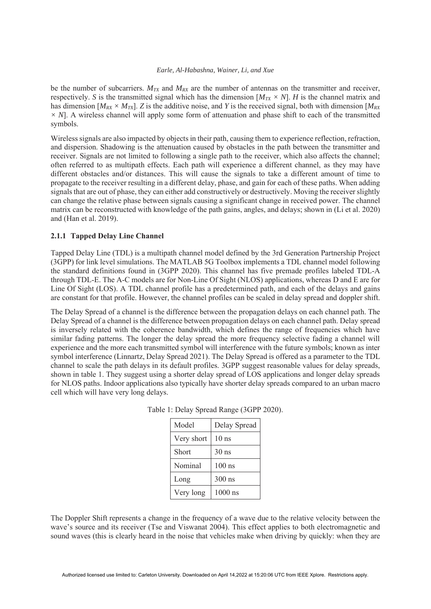be the number of subcarriers.  $M_{TX}$  and  $M_{RX}$  are the number of antennas on the transmitter and receiver, respectively. *S* is the transmitted signal which has the dimension  $[M_{TX} \times N]$ . *H* is the channel matrix and has dimension  $[M_{RX} \times M_{TX}]$ . *Z* is the additive noise, and *Y* is the received signal, both with dimension  $[M_{RX}$ *× N*]. A wireless channel will apply some form of attenuation and phase shift to each of the transmitted symbols.

Wireless signals are also impacted by objects in their path, causing them to experience reflection, refraction, and dispersion. Shadowing is the attenuation caused by obstacles in the path between the transmitter and receiver. Signals are not limited to following a single path to the receiver, which also affects the channel; often referred to as multipath effects. Each path will experience a different channel, as they may have different obstacles and/or distances. This will cause the signals to take a different amount of time to propagate to the receiver resulting in a different delay, phase, and gain for each of these paths. When adding signals that are out of phase, they can either add constructively or destructively. Moving the receiver slightly can change the relative phase between signals causing a significant change in received power. The channel matrix can be reconstructed with knowledge of the path gains, angles, and delays; shown in (Li et al. 2020) and (Han et al. 2019).

# **2.1.1 Tapped Delay Line Channel**

Tapped Delay Line (TDL) is a multipath channel model defined by the 3rd Generation Partnership Project (3GPP) for link level simulations. The MATLAB 5G Toolbox implements a TDL channel model following the standard definitions found in (3GPP 2020). This channel has five premade profiles labeled TDL-A through TDL-E. The A-C models are for Non-Line Of Sight (NLOS) applications, whereas D and E are for Line Of Sight (LOS). A TDL channel profile has a predetermined path, and each of the delays and gains are constant for that profile. However, the channel profiles can be scaled in delay spread and doppler shift.

The Delay Spread of a channel is the difference between the propagation delays on each channel path. The Delay Spread of a channel is the difference between propagation delays on each channel path. Delay spread is inversely related with the coherence bandwidth, which defines the range of frequencies which have similar fading patterns. The longer the delay spread the more frequency selective fading a channel will experience and the more each transmitted symbol will interference with the future symbols; known as inter symbol interference (Linnartz, Delay Spread 2021). The Delay Spread is offered as a parameter to the TDL channel to scale the path delays in its default profiles. 3GPP suggest reasonable values for delay spreads, shown in table 1. They suggest using a shorter delay spread of LOS applications and longer delay spreads for NLOS paths. Indoor applications also typically have shorter delay spreads compared to an urban macro cell which will have very long delays.

| Model      | Delay Spread |
|------------|--------------|
| Very short | $10$ ns      |
| Short      | $30$ ns      |
| Nominal    | $100$ ns     |
| Long       | $300$ ns     |
| Very long  | $1000$ ns    |

Table 1: Delay Spread Range (3GPP 2020).

The Doppler Shift represents a change in the frequency of a wave due to the relative velocity between the wave's source and its receiver (Tse and Viswanat 2004). This effect applies to both electromagnetic and sound waves (this is clearly heard in the noise that vehicles make when driving by quickly: when they are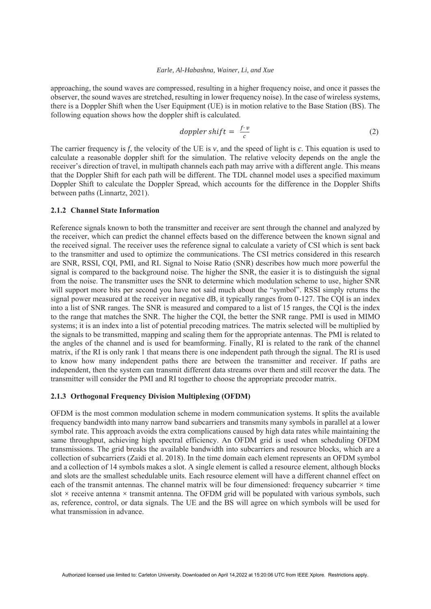approaching, the sound waves are compressed, resulting in a higher frequency noise, and once it passes the observer, the sound waves are stretched, resulting in lower frequency noise). In the case of wireless systems, there is a Doppler Shift when the User Equipment (UE) is in motion relative to the Base Station (BS). The following equation shows how the doppler shift is calculated.

$$
doppler\, shift = \frac{f \cdot v}{c} \tag{2}
$$

The carrier frequency is *f*, the velocity of the UE is *v*, and the speed of light is *c*. This equation is used to calculate a reasonable doppler shift for the simulation. The relative velocity depends on the angle the receiver's direction of travel, in multipath channels each path may arrive with a different angle. This means that the Doppler Shift for each path will be different. The TDL channel model uses a specified maximum Doppler Shift to calculate the Doppler Spread, which accounts for the difference in the Doppler Shifts between paths (Linnartz, 2021).

# **2.1.2 Channel State Information**

Reference signals known to both the transmitter and receiver are sent through the channel and analyzed by the receiver, which can predict the channel effects based on the difference between the known signal and the received signal. The receiver uses the reference signal to calculate a variety of CSI which is sent back to the transmitter and used to optimize the communications. The CSI metrics considered in this research are SNR, RSSI, CQI, PMI, and RI. Signal to Noise Ratio (SNR) describes how much more powerful the signal is compared to the background noise. The higher the SNR, the easier it is to distinguish the signal from the noise. The transmitter uses the SNR to determine which modulation scheme to use, higher SNR will support more bits per second you have not said much about the "symbol". RSSI simply returns the signal power measured at the receiver in negative dB, it typically ranges from 0-127. The CQI is an index into a list of SNR ranges. The SNR is measured and compared to a list of 15 ranges, the CQI is the index to the range that matches the SNR. The higher the CQI, the better the SNR range. PMI is used in MIMO systems; it is an index into a list of potential precoding matrices. The matrix selected will be multiplied by the signals to be transmitted, mapping and scaling them for the appropriate antennas. The PMI is related to the angles of the channel and is used for beamforming. Finally, RI is related to the rank of the channel matrix, if the RI is only rank 1 that means there is one independent path through the signal. The RI is used to know how many independent paths there are between the transmitter and receiver. If paths are independent, then the system can transmit different data streams over them and still recover the data. The transmitter will consider the PMI and RI together to choose the appropriate precoder matrix.

#### **2.1.3 Orthogonal Frequency Division Multiplexing (OFDM)**

OFDM is the most common modulation scheme in modern communication systems. It splits the available frequency bandwidth into many narrow band subcarriers and transmits many symbols in parallel at a lower symbol rate. This approach avoids the extra complications caused by high data rates while maintaining the same throughput, achieving high spectral efficiency. An OFDM grid is used when scheduling OFDM transmissions. The grid breaks the available bandwidth into subcarriers and resource blocks, which are a collection of subcarriers (Zaidi et al. 2018). In the time domain each element represents an OFDM symbol and a collection of 14 symbols makes a slot. A single element is called a resource element, although blocks and slots are the smallest schedulable units. Each resource element will have a different channel effect on each of the transmit antennas. The channel matrix will be four dimensioned: frequency subcarrier *×* time slot *×* receive antenna *×* transmit antenna. The OFDM grid will be populated with various symbols, such as, reference, control, or data signals. The UE and the BS will agree on which symbols will be used for what transmission in advance.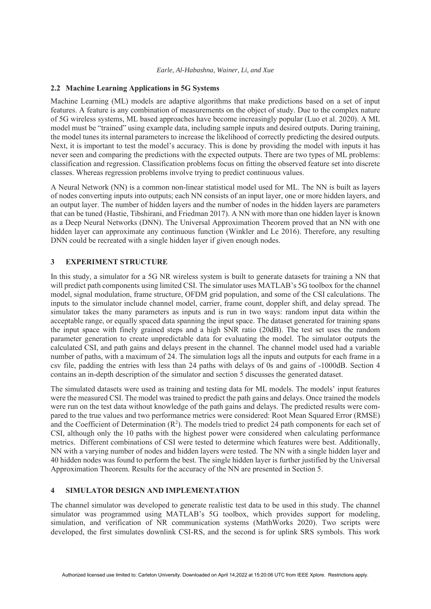#### **2.2 Machine Learning Applications in 5G Systems**

Machine Learning (ML) models are adaptive algorithms that make predictions based on a set of input features. A feature is any combination of measurements on the object of study. Due to the complex nature of 5G wireless systems, ML based approaches have become increasingly popular (Luo et al. 2020). A ML model must be "trained" using example data, including sample inputs and desired outputs. During training, the model tunes its internal parameters to increase the likelihood of correctly predicting the desired outputs. Next, it is important to test the model's accuracy. This is done by providing the model with inputs it has never seen and comparing the predictions with the expected outputs. There are two types of ML problems: classification and regression. Classification problems focus on fitting the observed feature set into discrete classes. Whereas regression problems involve trying to predict continuous values.

A Neural Network (NN) is a common non-linear statistical model used for ML. The NN is built as layers of nodes converting inputs into outputs; each NN consists of an input layer, one or more hidden layers, and an output layer. The number of hidden layers and the number of nodes in the hidden layers are parameters that can be tuned (Hastie, Tibshirani, and Friedman 2017). A NN with more than one hidden layer is known as a Deep Neural Networks (DNN). The Universal Approximation Theorem proved that an NN with one hidden layer can approximate any continuous function (Winkler and Le 2016). Therefore, any resulting DNN could be recreated with a single hidden layer if given enough nodes.

### **3 EXPERIMENT STRUCTURE**

In this study, a simulator for a 5G NR wireless system is built to generate datasets for training a NN that will predict path components using limited CSI. The simulator uses MATLAB's 5G toolbox for the channel model, signal modulation, frame structure, OFDM grid population, and some of the CSI calculations. The inputs to the simulator include channel model, carrier, frame count, doppler shift, and delay spread. The simulator takes the many parameters as inputs and is run in two ways: random input data within the acceptable range, or equally spaced data spanning the input space. The dataset generated for training spans the input space with finely grained steps and a high SNR ratio (20dB). The test set uses the random parameter generation to create unpredictable data for evaluating the model. The simulator outputs the calculated CSI, and path gains and delays present in the channel. The channel model used had a variable number of paths, with a maximum of 24. The simulation logs all the inputs and outputs for each frame in a csv file, padding the entries with less than 24 paths with delays of 0s and gains of -1000dB. Section 4 contains an in-depth description of the simulator and section 5 discusses the generated dataset.

The simulated datasets were used as training and testing data for ML models. The models' input features were the measured CSI. The model was trained to predict the path gains and delays. Once trained the models were run on the test data without knowledge of the path gains and delays. The predicted results were compared to the true values and two performance metrics were considered: Root Mean Squared Error (RMSE) and the Coefficient of Determination  $(R^2)$ . The models tried to predict 24 path components for each set of CSI, although only the 10 paths with the highest power were considered when calculating performance metrics. Different combinations of CSI were tested to determine which features were best. Additionally, NN with a varying number of nodes and hidden layers were tested. The NN with a single hidden layer and 40 hidden nodes was found to perform the best. The single hidden layer is further justified by the Universal Approximation Theorem. Results for the accuracy of the NN are presented in Section 5.

# **4 SIMULATOR DESIGN AND IMPLEMENTATION**

The channel simulator was developed to generate realistic test data to be used in this study. The channel simulator was programmed using MATLAB's 5G toolbox, which provides support for modeling, simulation, and verification of NR communication systems (MathWorks 2020). Two scripts were developed, the first simulates downlink CSI-RS, and the second is for uplink SRS symbols. This work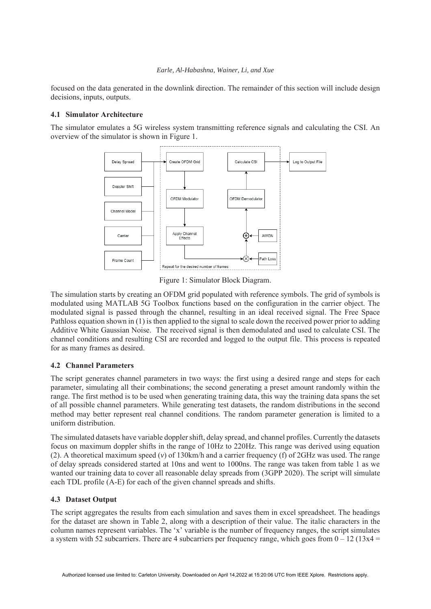focused on the data generated in the downlink direction. The remainder of this section will include design decisions, inputs, outputs.

# **4.1 Simulator Architecture**

The simulator emulates a 5G wireless system transmitting reference signals and calculating the CSI. An overview of the simulator is shown in Figure 1.



Figure 1: Simulator Block Diagram.

The simulation starts by creating an OFDM grid populated with reference symbols. The grid of symbols is modulated using MATLAB 5G Toolbox functions based on the configuration in the carrier object. The modulated signal is passed through the channel, resulting in an ideal received signal. The Free Space Pathloss equation shown in (1) is then applied to the signal to scale down the received power prior to adding Additive White Gaussian Noise. The received signal is then demodulated and used to calculate CSI. The channel conditions and resulting CSI are recorded and logged to the output file. This process is repeated for as many frames as desired.

# **4.2 Channel Parameters**

The script generates channel parameters in two ways: the first using a desired range and steps for each parameter, simulating all their combinations; the second generating a preset amount randomly within the range. The first method is to be used when generating training data, this way the training data spans the set of all possible channel parameters. While generating test datasets, the random distributions in the second method may better represent real channel conditions. The random parameter generation is limited to a uniform distribution.

The simulated datasets have variable doppler shift, delay spread, and channel profiles. Currently the datasets focus on maximum doppler shifts in the range of 10Hz to 220Hz. This range was derived using equation (2). A theoretical maximum speed (*v*) of 130km/h and a carrier frequency (f) of 2GHz was used. The range of delay spreads considered started at 10ns and went to 1000ns. The range was taken from table 1 as we wanted our training data to cover all reasonable delay spreads from (3GPP 2020). The script will simulate each TDL profile (A-E) for each of the given channel spreads and shifts.

# **4.3 Dataset Output**

The script aggregates the results from each simulation and saves them in excel spreadsheet. The headings for the dataset are shown in Table 2, along with a description of their value. The italic characters in the column names represent variables. The 'x' variable is the number of frequency ranges, the script simulates a system with 52 subcarriers. There are 4 subcarriers per frequency range, which goes from  $0 - 12$  (13x4 =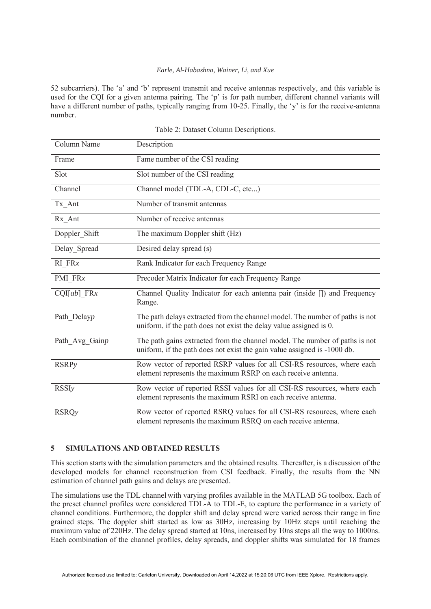52 subcarriers). The 'a' and 'b' represent transmit and receive antennas respectively, and this variable is used for the CQI for a given antenna pairing. The 'p' is for path number, different channel variants will have a different number of paths, typically ranging from 10-25. Finally, the 'y' is for the receive-antenna number.

| Column Name    | Description                                                                                                                                             |
|----------------|---------------------------------------------------------------------------------------------------------------------------------------------------------|
| Frame          | Fame number of the CSI reading                                                                                                                          |
| Slot           | Slot number of the CSI reading                                                                                                                          |
| Channel        | Channel model (TDL-A, CDL-C, etc)                                                                                                                       |
| Tx Ant         | Number of transmit antennas                                                                                                                             |
| Rx_Ant         | Number of receive antennas                                                                                                                              |
| Doppler Shift  | The maximum Doppler shift (Hz)                                                                                                                          |
| Delay Spread   | Desired delay spread (s)                                                                                                                                |
| $RI$ $FRx$     | Rank Indicator for each Frequency Range                                                                                                                 |
| PMI_FRx        | Precoder Matrix Indicator for each Frequency Range                                                                                                      |
| $CQI[ab]$ FRx  | Channel Quality Indicator for each antenna pair (inside []) and Frequency<br>Range.                                                                     |
| Path Delayp    | The path delays extracted from the channel model. The number of paths is not<br>uniform, if the path does not exist the delay value assigned is 0.      |
| Path Avg Gainp | The path gains extracted from the channel model. The number of paths is not<br>uniform, if the path does not exist the gain value assigned is -1000 db. |
| <b>RSRP</b> y  | Row vector of reported RSRP values for all CSI-RS resources, where each<br>element represents the maximum RSRP on each receive antenna.                 |
| <b>RSSI</b> y  | Row vector of reported RSSI values for all CSI-RS resources, where each<br>element represents the maximum RSRI on each receive antenna.                 |
| <b>RSRQy</b>   | Row vector of reported RSRQ values for all CSI-RS resources, where each<br>element represents the maximum RSRQ on each receive antenna.                 |

# **5 SIMULATIONS AND OBTAINED RESULTS**

This section starts with the simulation parameters and the obtained results. Thereafter, is a discussion of the developed models for channel reconstruction from CSI feedback. Finally, the results from the NN estimation of channel path gains and delays are presented.

The simulations use the TDL channel with varying profiles available in the MATLAB 5G toolbox. Each of the preset channel profiles were considered TDL-A to TDL-E, to capture the performance in a variety of channel conditions. Furthermore, the doppler shift and delay spread were varied across their range in fine grained steps. The doppler shift started as low as 30Hz, increasing by 10Hz steps until reaching the maximum value of 220Hz. The delay spread started at 10ns, increased by 10ns steps all the way to 1000ns. Each combination of the channel profiles, delay spreads, and doppler shifts was simulated for 18 frames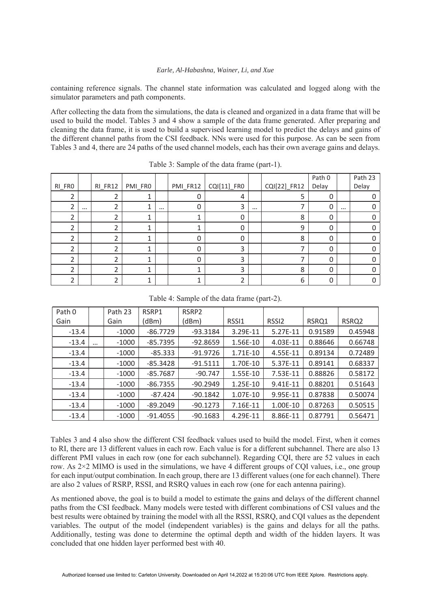containing reference signals. The channel state information was calculated and logged along with the simulator parameters and path components.

After collecting the data from the simulations, the data is cleaned and organized in a data frame that will be used to build the model. Tables 3 and 4 show a sample of the data frame generated. After preparing and cleaning the data frame, it is used to build a supervised learning model to predict the delays and gains of the different channel paths from the CSI feedback. NNs were used for this purpose. As can be seen from Tables 3 and 4, there are 24 paths of the used channel models, each has their own average gains and delays.

|        |          |         |         |          |          |             |          |              | Path 0 |          | Path 23 |
|--------|----------|---------|---------|----------|----------|-------------|----------|--------------|--------|----------|---------|
| RI_FRO |          | RI_FR12 | PMI_FR0 |          | PMI_FR12 | CQI[11]_FR0 |          | CQI[22]_FR12 | Delay  |          | Delay   |
|        |          |         |         |          |          | 4           |          | 5            |        |          |         |
| ำ      | $\cdots$ |         |         | $\cdots$ | 0        | 3           | $\cdots$ |              | 0      | $\cdots$ |         |
| า      |          |         |         |          |          | U           |          | 8            | U      |          |         |
| ∍      |          | ำ       |         |          |          | 0           |          | 9            |        |          |         |
| ำ      |          |         |         |          | 0        | 0           |          | 8            |        |          |         |
| า      |          |         |         |          | Ω        | 3           |          |              |        |          |         |
| ำ      |          |         | л       |          | Ω        | 3           |          |              |        |          |         |
| ำ      |          |         |         |          |          | 3           |          | 8            | U      |          |         |
| ำ      |          |         |         |          |          |             |          | 6            |        |          |         |

Table 3: Sample of the data frame (part-1).

| Table 4: Sample of the data frame (part-2). |  |  |  |  |  |
|---------------------------------------------|--|--|--|--|--|
|---------------------------------------------|--|--|--|--|--|

| Path 0  |          | Path 23 | RSRP1      | RSRP <sub>2</sub> |          |                   |         |                   |
|---------|----------|---------|------------|-------------------|----------|-------------------|---------|-------------------|
| Gain    |          | Gain    | (dBm)      | (dBm)             | RSSI1    | RSSI <sub>2</sub> | RSRQ1   | RSRQ <sub>2</sub> |
| $-13.4$ |          | $-1000$ | $-86.7729$ | $-93.3184$        | 3.29E-11 | 5.27E-11          | 0.91589 | 0.45948           |
| $-13.4$ | $\cdots$ | $-1000$ | $-85.7395$ | $-92.8659$        | 1.56E-10 | 4.03E-11          | 0.88646 | 0.66748           |
| $-13.4$ |          | $-1000$ | $-85.333$  | $-91.9726$        | 1.71E-10 | 4.55E-11          | 0.89134 | 0.72489           |
| $-13.4$ |          | $-1000$ | $-85.3428$ | $-91.5111$        | 1.70E-10 | 5.37E-11          | 0.89141 | 0.68337           |
| $-13.4$ |          | $-1000$ | $-85.7687$ | $-90.747$         | 1.55E-10 | 7.53E-11          | 0.88826 | 0.58172           |
| $-13.4$ |          | $-1000$ | $-86.7355$ | $-90.2949$        | 1.25E-10 | 9.41E-11          | 0.88201 | 0.51643           |
| $-13.4$ |          | $-1000$ | $-87.424$  | $-90.1842$        | 1.07E-10 | 9.95E-11          | 0.87838 | 0.50074           |
| $-13.4$ |          | $-1000$ | $-89.2049$ | $-90.1273$        | 7.16E-11 | 1.00E-10          | 0.87263 | 0.50515           |
| $-13.4$ |          | $-1000$ | $-91.4055$ | $-90.1683$        | 4.29E-11 | 8.86E-11          | 0.87791 | 0.56471           |

Tables 3 and 4 also show the different CSI feedback values used to build the model. First, when it comes to RI, there are 13 different values in each row. Each value is for a different subchannel. There are also 13 different PMI values in each row (one for each subchannel). Regarding CQI, there are 52 values in each row. As 2×2 MIMO is used in the simulations, we have 4 different groups of CQI values, i.e., one group for each input/output combination. In each group, there are 13 different values (one for each channel). There are also 2 values of RSRP, RSSI, and RSRQ values in each row (one for each antenna pairing).

As mentioned above, the goal is to build a model to estimate the gains and delays of the different channel paths from the CSI feedback. Many models were tested with different combinations of CSI values and the best results were obtained by training the model with all the RSSI, RSRQ, and CQI values as the dependent variables. The output of the model (independent variables) is the gains and delays for all the paths. Additionally, testing was done to determine the optimal depth and width of the hidden layers. It was concluded that one hidden layer performed best with 40.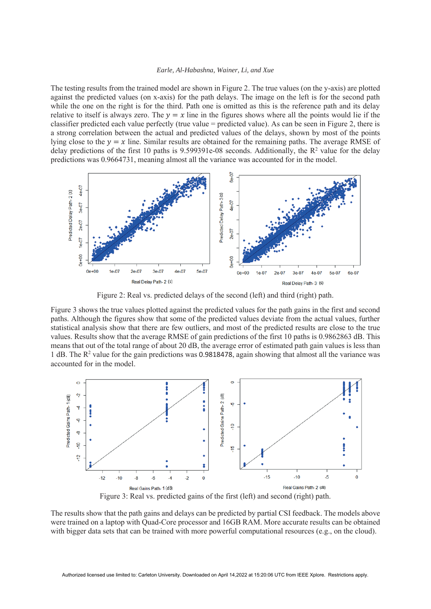The testing results from the trained model are shown in Figure 2. The true values (on the y-axis) are plotted against the predicted values (on x-axis) for the path delays. The image on the left is for the second path while the one on the right is for the third. Path one is omitted as this is the reference path and its delay relative to itself is always zero. The  $y = x$  line in the figures shows where all the points would lie if the classifier predicted each value perfectly (true value = predicted value). As can be seen in Figure 2, there is a strong correlation between the actual and predicted values of the delays, shown by most of the points lying close to the  $y = x$  line. Similar results are obtained for the remaining paths. The average RMSE of delay predictions of the first 10 paths is 9.599391e-08 seconds. Additionally, the  $R^2$  value for the delay predictions was 0.9664731, meaning almost all the variance was accounted for in the model.



Figure 2: Real vs. predicted delays of the second (left) and third (right) path.

Figure 3 shows the true values plotted against the predicted values for the path gains in the first and second paths. Although the figures show that some of the predicted values deviate from the actual values, further statistical analysis show that there are few outliers, and most of the predicted results are close to the true values. Results show that the average RMSE of gain predictions of the first 10 paths is 0.9862863 dB. This means that out of the total range of about 20 dB, the average error of estimated path gain values is less than 1 dB. The R<sup>2</sup> value for the gain predictions was 0.9818478, again showing that almost all the variance was accounted for in the model.



The results show that the path gains and delays can be predicted by partial CSI feedback. The models above were trained on a laptop with Quad-Core processor and 16GB RAM. More accurate results can be obtained with bigger data sets that can be trained with more powerful computational resources (e.g., on the cloud).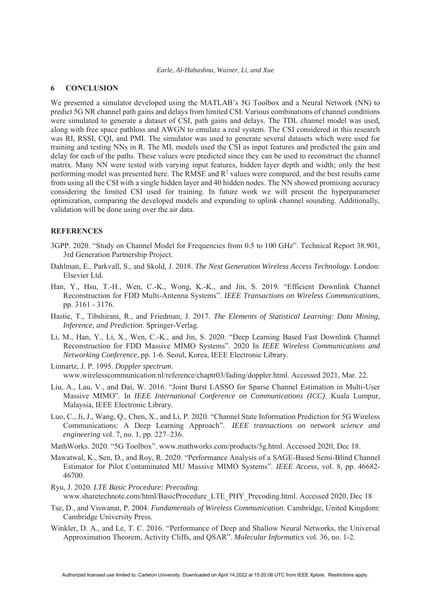### **6 CONCLUSION**

We presented a simulator developed using the MATLAB's 5G Toolbox and a Neural Network (NN) to predict 5G NR channel path gains and delays from limited CSI. Various combinations of channel conditions were simulated to generate a dataset of CSI, path gains and delays. The TDL channel model was used, along with free space pathloss and AWGN to emulate a real system. The CSI considered in this research was RI, RSSI, CQI, and PMI. The simulator was used to generate several datasets which were used for training and testing NNs in R. The ML models used the CSI as input features and predicted the gain and delay for each of the paths. These values were predicted since they can be used to reconstruct the channel matrix. Many NN were tested with varying input features, hidden layer depth and width; only the best performing model was presented here. The RMSE and  $R^2$  values were compared, and the best results came from using all the CSI with a single hidden layer and 40 hidden nodes. The NN showed promising accuracy considering the limited CSI used for training. In future work we will present the hyperparameter optimization, comparing the developed models and expanding to uplink channel sounding. Additionally, validation will be done using over the air data.

#### **REFERENCES**

- 3GPP. 2020. "Study on Channel Model for Frequencies from 0.5 to 100 GHz". Technical Report 38.901, 3rd Generation Partnership Project.
- Dahlman, E., Parkvall, S., and Skold, J. 2018. *The Next Generation Wireless Access Technology*. London: Elsevier Ltd.
- Han, Y., Hsu, T.-H., Wen, C.-K., Wong, K.-K., and Jin, S. 2019. "Efficient Downlink Channel Reconstruction for FDD Multi-Antenna Systems". *IEEE Transactions on Wireless Communications*, pp. 3161 - 3176.
- Hastie, T., Tibshirani, R., and Friedman, J. 2017. *The Elements of Statistical Learning: Data Mining, Inference, and Prediction*. Springer-Verlag.
- Li, M., Han, Y., Li, X., Wen, C.-K., and Jin, S. 2020. "Deep Learning Based Fast Downlink Channel Reconstruction for FDD Massive MIMO Systems". 2020 In *IEEE Wireless Communications and Networking Conference*, pp. 1-6. Seoul, Korea, IEEE Electronic Library.
- Linnartz, J. P. 1995. *Doppler spectrum*. www.wirelesscommunication.nl/reference/chaptr03/fading/doppler.html. Accessed 2021, Mar. 22.
- Liu, A., Lau, V., and Dai, W. 2016. "Joint Burst LASSO for Sparse Channel Estimation in Multi-User Massive MIMO". In *IEEE International Conference on Communications (ICC)*. Kuala Lumpur, Malaysia, IEEE Electronic Library.
- Luo, C., Ji, J., Wang, Q., Chen, X., and Li, P. 2020. "Channel State Information Prediction for 5G Wireless Communications: A Deep Learning Approach". *IEEE transactions on network science and engineering* vol. 7, no. 1, pp. 227–236.
- MathWorks. 2020. "5G Toolbox". www.mathworks.com/products/5g.html. Accessed 2020, Dec 18.
- Mawatwal, K., Sen, D., and Roy, R. 2020. "Performance Analysis of a SAGE-Based Semi-Blind Channel Estimator for Pilot Contaminated MU Massive MIMO Systems". *IEEE Access*, vol. 8, pp. 46682- 46700.
- Ryu, J. 2020. *LTE Basic Procedure: Precoding*. www.sharetechnote.com/html/BasicProcedure\_LTE\_PHY\_Precoding.html. Accessed 2020, Dec 18
- Tse, D., and Viswanat, P. 2004. *Fundamentals of Wireless Communication*. Cambridge, United Kingdom: Cambridge University Press.
- Winkler, D. A., and Le, T. C. 2016. "Performance of Deep and Shallow Neural Networks, the Universal Approximation Theorem, Activity Cliffs, and QSAR". *Molecular Informatics* vol. 36, no. 1-2.